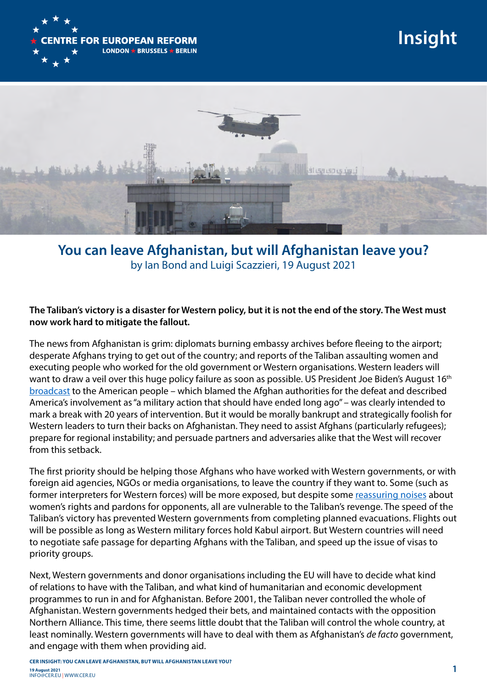

**Insight**



**You can leave Afghanistan, but will Afghanistan leave you?** by Ian Bond and Luigi Scazzieri, 19 August 2021

## **The Taliban's victory is a disaster for Western policy, but it is not the end of the story. The West must now work hard to mitigate the fallout.**

The news from Afghanistan is grim: diplomats burning embassy archives before fleeing to the airport; desperate Afghans trying to get out of the country; and reports of the Taliban assaulting women and executing people who worked for the old government or Western organisations. Western leaders will want to draw a veil over this huge policy failure as soon as possible. US President Joe Biden's August 16<sup>th</sup> [broadcast](https://www.whitehouse.gov/briefing-room/speeches-remarks/2021/08/16/remarks-by-president-biden-on-afghanistan/) to the American people – which blamed the Afghan authorities for the defeat and described America's involvement as "a military action that should have ended long ago" – was clearly intended to mark a break with 20 years of intervention. But it would be morally bankrupt and strategically foolish for Western leaders to turn their backs on Afghanistan. They need to assist Afghans (particularly refugees); prepare for regional instability; and persuade partners and adversaries alike that the West will recover from this setback.

The first priority should be helping those Afghans who have worked with Western governments, or with foreign aid agencies, NGOs or media organisations, to leave the country if they want to. Some (such as former interpreters for Western forces) will be more exposed, but despite some [reassuring noises](https://www.bbc.co.uk/news/live/world-asia-58219963?ns_mchannel=social&ns_source=twitter&ns_campaign=bbc_live&ns_linkname=611be1d4b19a573a6ec373ee%26Taliban%20news%20conference%3A%20The%20main%20points%262021-08-17T16%3A27%3A35.912Z&ns_fee=0&pinned_post_locator=urn:asset:9f14e309-5017-467e-885e-04dc86a10ffd&pinned_post_asset_id=611be1d4b19a573a6ec373ee&pinned_post_type=share) about women's rights and pardons for opponents, all are vulnerable to the Taliban's revenge. The speed of the Taliban's victory has prevented Western governments from completing planned evacuations. Flights out will be possible as long as Western military forces hold Kabul airport. But Western countries will need to negotiate safe passage for departing Afghans with the Taliban, and speed up the issue of visas to priority groups.

Next, Western governments and donor organisations including the EU will have to decide what kind of relations to have with the Taliban, and what kind of humanitarian and economic development programmes to run in and for Afghanistan. Before 2001, the Taliban never controlled the whole of Afghanistan. Western governments hedged their bets, and maintained contacts with the opposition Northern Alliance. This time, there seems little doubt that the Taliban will control the whole country, at least nominally. Western governments will have to deal with them as Afghanistan's *de facto* government, and engage with them when providing aid.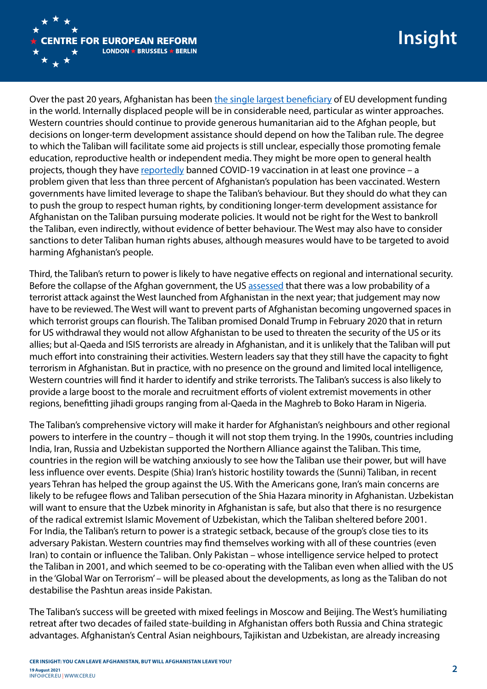

Over the past 20 years, Afghanistan has been the single largest beneficiary of EU development funding in the world. Internally displaced people will be in considerable need, particular as winter approaches. Western countries should continue to provide generous humanitarian aid to the Afghan people, but decisions on longer-term development assistance should depend on how the Taliban rule. The degree to which the Taliban will facilitate some aid projects is still unclear, especially those promoting female education, reproductive health or independent media. They might be more open to general health projects, though they have [reportedly](https://www.hindustantimes.com/videos/world-news/afghanistan-taliban-bans-covid-vaccine-in-paktia-say-reports-101628875018289.html) banned COVID-19 vaccination in at least one province – a problem given that less than three percent of Afghanistan's population has been vaccinated. Western governments have limited leverage to shape the Taliban's behaviour. But they should do what they can to push the group to respect human rights, by conditioning longer-term development assistance for Afghanistan on the Taliban pursuing moderate policies. It would not be right for the West to bankroll the Taliban, even indirectly, without evidence of better behaviour. The West may also have to consider sanctions to deter Taliban human rights abuses, although measures would have to be targeted to avoid harming Afghanistan's people.

Third, the Taliban's return to power is likely to have negative effects on regional and international security. Before the collapse of the Afghan government, the US [assessed](https://www.nbcnews.com/news/mideast/potential-al-qaeda-resurgence-afghanistan-worries-u-s-officials-n1276614) that there was a low probability of a terrorist attack against the West launched from Afghanistan in the next year; that judgement may now have to be reviewed. The West will want to prevent parts of Afghanistan becoming ungoverned spaces in which terrorist groups can flourish. The Taliban promised Donald Trump in February 2020 that in return for US withdrawal they would not allow Afghanistan to be used to threaten the security of the US or its allies; but al-Qaeda and ISIS terrorists are already in Afghanistan, and it is unlikely that the Taliban will put much effort into constraining their activities. Western leaders say that they still have the capacity to fight terrorism in Afghanistan. But in practice, with no presence on the ground and limited local intelligence, Western countries will find it harder to identify and strike terrorists. The Taliban's success is also likely to provide a large boost to the morale and recruitment efforts of violent extremist movements in other regions, benefitting jihadi groups ranging from al-Qaeda in the Maghreb to Boko Haram in Nigeria.

The Taliban's comprehensive victory will make it harder for Afghanistan's neighbours and other regional powers to interfere in the country – though it will not stop them trying. In the 1990s, countries including India, Iran, Russia and Uzbekistan supported the Northern Alliance against the Taliban. This time, countries in the region will be watching anxiously to see how the Taliban use their power, but will have less influence over events. Despite (Shia) Iran's historic hostility towards the (Sunni) Taliban, in recent years Tehran has helped the group against the US. With the Americans gone, Iran's main concerns are likely to be refugee flows and Taliban persecution of the Shia Hazara minority in Afghanistan. Uzbekistan will want to ensure that the Uzbek minority in Afghanistan is safe, but also that there is no resurgence of the radical extremist Islamic Movement of Uzbekistan, which the Taliban sheltered before 2001. For India, the Taliban's return to power is a strategic setback, because of the group's close ties to its adversary Pakistan. Western countries may find themselves working with all of these countries (even Iran) to contain or influence the Taliban. Only Pakistan – whose intelligence service helped to protect the Taliban in 2001, and which seemed to be co-operating with the Taliban even when allied with the US in the 'Global War on Terrorism' – will be pleased about the developments, as long as the Taliban do not destabilise the Pashtun areas inside Pakistan.

The Taliban's success will be greeted with mixed feelings in Moscow and Beijing. The West's humiliating retreat after two decades of failed state-building in Afghanistan offers both Russia and China strategic advantages. Afghanistan's Central Asian neighbours, Tajikistan and Uzbekistan, are already increasing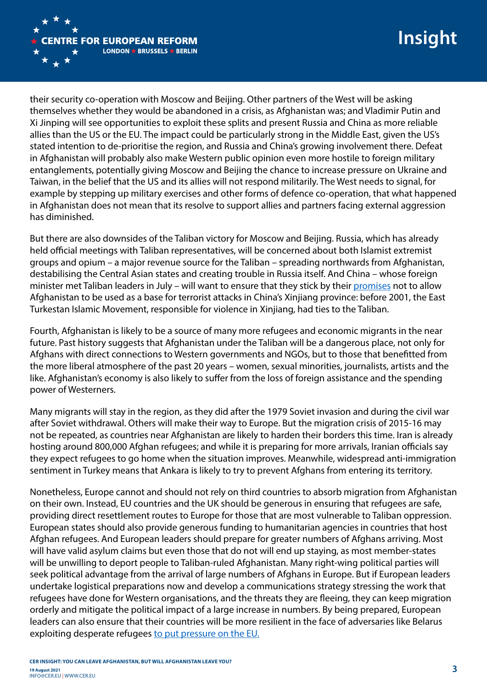

their security co-operation with Moscow and Beijing. Other partners of the West will be asking themselves whether they would be abandoned in a crisis, as Afghanistan was; and Vladimir Putin and Xi Jinping will see opportunities to exploit these splits and present Russia and China as more reliable allies than the US or the EU. The impact could be particularly strong in the Middle East, given the US's stated intention to de-prioritise the region, and Russia and China's growing involvement there. Defeat in Afghanistan will probably also make Western public opinion even more hostile to foreign military entanglements, potentially giving Moscow and Beijing the chance to increase pressure on Ukraine and Taiwan, in the belief that the US and its allies will not respond militarily. The West needs to signal, for example by stepping up military exercises and other forms of defence co-operation, that what happened in Afghanistan does not mean that its resolve to support allies and partners facing external aggression has diminished.

But there are also downsides of the Taliban victory for Moscow and Beijing. Russia, which has already held official meetings with Taliban representatives, will be concerned about both Islamist extremist groups and opium – a major revenue source for the Taliban – spreading northwards from Afghanistan, destabilising the Central Asian states and creating trouble in Russia itself. And China – whose foreign minister met Taliban leaders in July – will want to ensure that they stick by their [promises](https://www.ft.com/content/d7d7f627-92f9-4f1d-a07d-5c6a8ef18a2e) not to allow Afghanistan to be used as a base for terrorist attacks in China's Xinjiang province: before 2001, the East Turkestan Islamic Movement, responsible for violence in Xinjiang, had ties to the Taliban.

Fourth, Afghanistan is likely to be a source of many more refugees and economic migrants in the near future. Past history suggests that Afghanistan under the Taliban will be a dangerous place, not only for Afghans with direct connections to Western governments and NGOs, but to those that benefitted from the more liberal atmosphere of the past 20 years – women, sexual minorities, journalists, artists and the like. Afghanistan's economy is also likely to suffer from the loss of foreign assistance and the spending power of Westerners.

Many migrants will stay in the region, as they did after the 1979 Soviet invasion and during the civil war after Soviet withdrawal. Others will make their way to Europe. But the migration crisis of 2015-16 may not be repeated, as countries near Afghanistan are likely to harden their borders this time. Iran is already hosting around 800,000 Afghan refugees; and while it is preparing for more arrivals, Iranian officials say they expect refugees to go home when the situation improves. Meanwhile, widespread anti-immigration sentiment in Turkey means that Ankara is likely to try to prevent Afghans from entering its territory.

Nonetheless, Europe cannot and should not rely on third countries to absorb migration from Afghanistan on their own. Instead, EU countries and the UK should be generous in ensuring that refugees are safe, providing direct resettlement routes to Europe for those that are most vulnerable to Taliban oppression. European states should also provide generous funding to humanitarian agencies in countries that host Afghan refugees. And European leaders should prepare for greater numbers of Afghans arriving. Most will have valid asylum claims but even those that do not will end up staying, as most member-states will be unwilling to deport people to Taliban-ruled Afghanistan. Many right-wing political parties will seek political advantage from the arrival of large numbers of Afghans in Europe. But if European leaders undertake logistical preparations now and develop a communications strategy stressing the work that refugees have done for Western organisations, and the threats they are fleeing, they can keep migration orderly and mitigate the political impact of a large increase in numbers. By being prepared, European leaders can also ensure that their countries will be more resilient in the face of adversaries like Belarus exploiting desperate refugees [to put pressure on the EU.](https://www.cer.eu/publications/archive/bulletin-article/2021/new-migration-crisis-may-be-brewing)